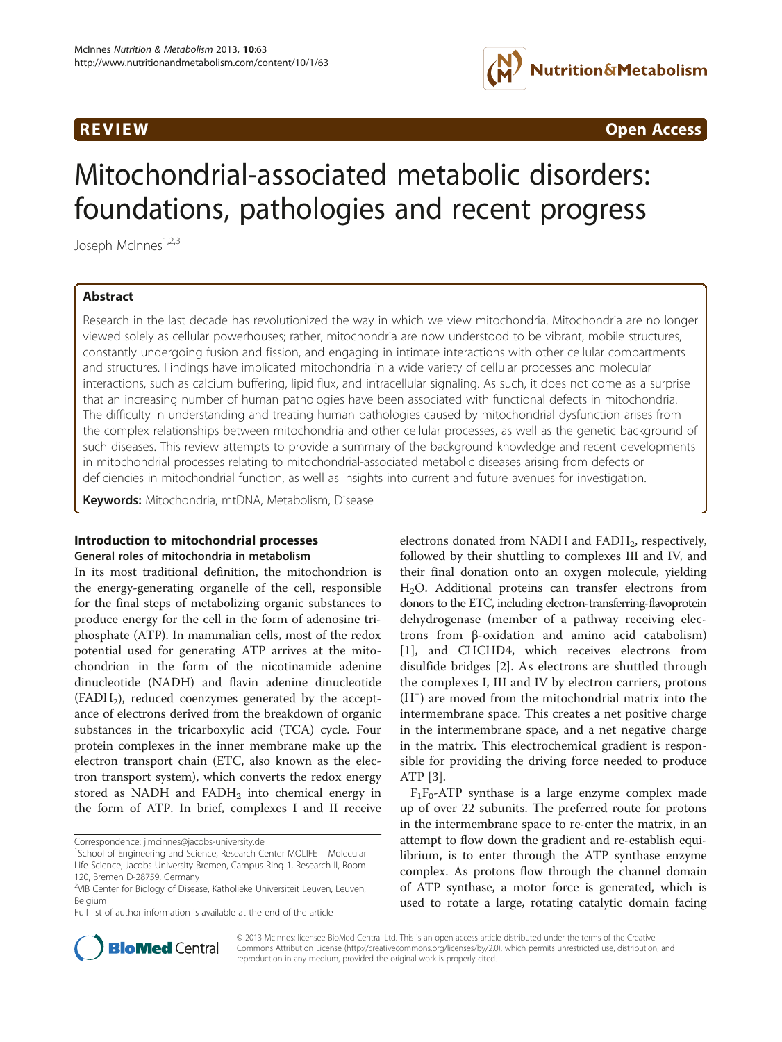

**REVIEW CONSULTANT CONSULTANT CONSULTANT CONSULTANT CONSULTANT CONSULTANT CONSULTANT CONSULTANT CONSULTANT CONSU** 

# Mitochondrial-associated metabolic disorders: foundations, pathologies and recent progress

Joseph McInnes<sup>1,2,3</sup>

# Abstract

Research in the last decade has revolutionized the way in which we view mitochondria. Mitochondria are no longer viewed solely as cellular powerhouses; rather, mitochondria are now understood to be vibrant, mobile structures, constantly undergoing fusion and fission, and engaging in intimate interactions with other cellular compartments and structures. Findings have implicated mitochondria in a wide variety of cellular processes and molecular interactions, such as calcium buffering, lipid flux, and intracellular signaling. As such, it does not come as a surprise that an increasing number of human pathologies have been associated with functional defects in mitochondria. The difficulty in understanding and treating human pathologies caused by mitochondrial dysfunction arises from the complex relationships between mitochondria and other cellular processes, as well as the genetic background of such diseases. This review attempts to provide a summary of the background knowledge and recent developments in mitochondrial processes relating to mitochondrial-associated metabolic diseases arising from defects or deficiencies in mitochondrial function, as well as insights into current and future avenues for investigation.

Keywords: Mitochondria, mtDNA, Metabolism, Disease

#### Introduction to mitochondrial processes General roles of mitochondria in metabolism

In its most traditional definition, the mitochondrion is the energy-generating organelle of the cell, responsible for the final steps of metabolizing organic substances to produce energy for the cell in the form of adenosine triphosphate (ATP). In mammalian cells, most of the redox potential used for generating ATP arrives at the mitochondrion in the form of the nicotinamide adenine dinucleotide (NADH) and flavin adenine dinucleotide  $(FADH<sub>2</sub>)$ , reduced coenzymes generated by the acceptance of electrons derived from the breakdown of organic substances in the tricarboxylic acid (TCA) cycle. Four protein complexes in the inner membrane make up the electron transport chain (ETC, also known as the electron transport system), which converts the redox energy stored as NADH and  $FADH<sub>2</sub>$  into chemical energy in the form of ATP. In brief, complexes I and II receive

Correspondence: [j.mcinnes@jacobs-university.de](mailto:j.mcinnes@jacobs-university.de) <sup>1</sup>

<sup>1</sup>School of Engineering and Science, Research Center MOLIFE – Molecular Life Science, Jacobs University Bremen, Campus Ring 1, Research II, Room 120, Bremen D-28759, Germany

Full list of author information is available at the end of the article

electrons donated from NADH and  $FADH<sub>2</sub>$ , respectively, followed by their shuttling to complexes III and IV, and their final donation onto an oxygen molecule, yielding H2O. Additional proteins can transfer electrons from donors to the ETC, including electron-transferring-flavoprotein dehydrogenase (member of a pathway receiving electrons from β-oxidation and amino acid catabolism) [[1\]](#page-10-0), and CHCHD4, which receives electrons from disulfide bridges [[2\]](#page-10-0). As electrons are shuttled through the complexes I, III and IV by electron carriers, protons (H<sup>+</sup> ) are moved from the mitochondrial matrix into the intermembrane space. This creates a net positive charge in the intermembrane space, and a net negative charge in the matrix. This electrochemical gradient is responsible for providing the driving force needed to produce ATP [\[3](#page-10-0)].

 $F_1F_0$ -ATP synthase is a large enzyme complex made up of over 22 subunits. The preferred route for protons in the intermembrane space to re-enter the matrix, in an attempt to flow down the gradient and re-establish equilibrium, is to enter through the ATP synthase enzyme complex. As protons flow through the channel domain of ATP synthase, a motor force is generated, which is used to rotate a large, rotating catalytic domain facing



© 2013 McInnes; licensee BioMed Central Ltd. This is an open access article distributed under the terms of the Creative Commons Attribution License [\(http://creativecommons.org/licenses/by/2.0\)](http://creativecommons.org/licenses/by/2.0), which permits unrestricted use, distribution, and reproduction in any medium, provided the original work is properly cited.

<sup>&</sup>lt;sup>2</sup>VIB Center for Biology of Disease, Katholieke Universiteit Leuven, Leuven, Belgium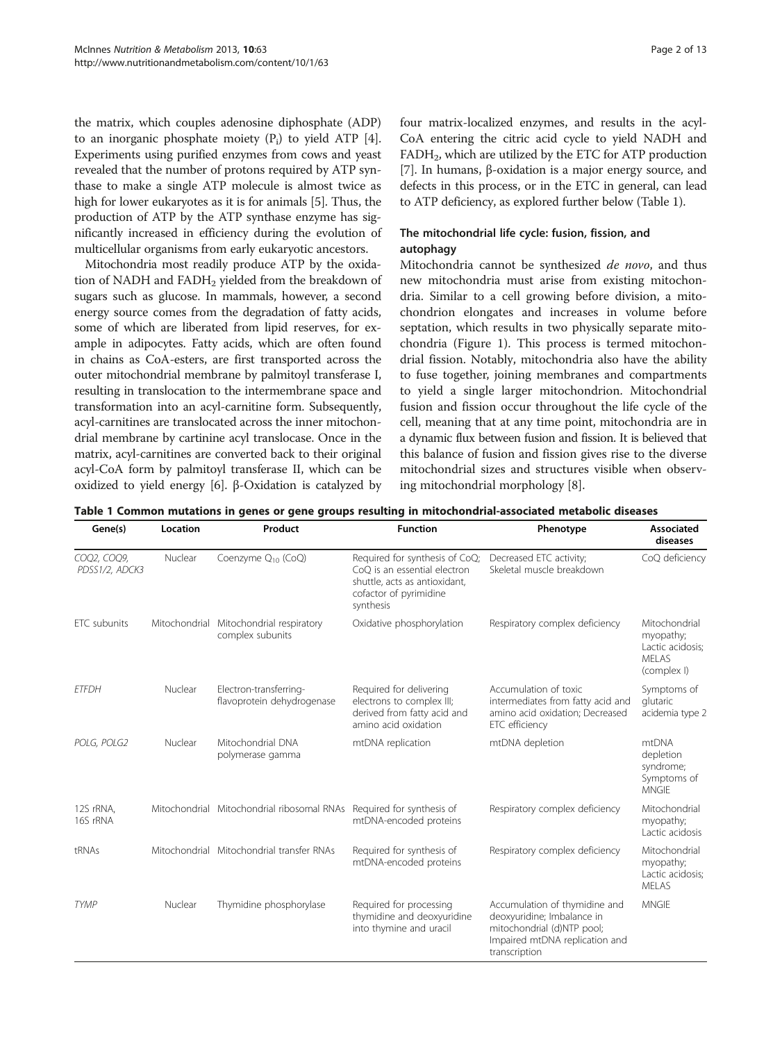the matrix, which couples adenosine diphosphate (ADP) to an inorganic phosphate moiety  $(P_i)$  to yield ATP  $[4]$  $[4]$  $[4]$ . Experiments using purified enzymes from cows and yeast revealed that the number of protons required by ATP synthase to make a single ATP molecule is almost twice as high for lower eukaryotes as it is for animals [[5\]](#page-10-0). Thus, the production of ATP by the ATP synthase enzyme has significantly increased in efficiency during the evolution of multicellular organisms from early eukaryotic ancestors.

Mitochondria most readily produce ATP by the oxidation of NADH and FADH<sub>2</sub> yielded from the breakdown of sugars such as glucose. In mammals, however, a second energy source comes from the degradation of fatty acids, some of which are liberated from lipid reserves, for example in adipocytes. Fatty acids, which are often found in chains as CoA-esters, are first transported across the outer mitochondrial membrane by palmitoyl transferase I, resulting in translocation to the intermembrane space and transformation into an acyl-carnitine form. Subsequently, acyl-carnitines are translocated across the inner mitochondrial membrane by cartinine acyl translocase. Once in the matrix, acyl-carnitines are converted back to their original acyl-CoA form by palmitoyl transferase II, which can be oxidized to yield energy [\[6](#page-10-0)]. β-Oxidation is catalyzed by four matrix-localized enzymes, and results in the acyl-CoA entering the citric acid cycle to yield NADH and  $FADH<sub>2</sub>$ , which are utilized by the ETC for ATP production [[7\]](#page-10-0). In humans, β-oxidation is a major energy source, and defects in this process, or in the ETC in general, can lead to ATP deficiency, as explored further below (Table 1).

# The mitochondrial life cycle: fusion, fission, and autophagy

Mitochondria cannot be synthesized de novo, and thus new mitochondria must arise from existing mitochondria. Similar to a cell growing before division, a mitochondrion elongates and increases in volume before septation, which results in two physically separate mitochondria (Figure [1\)](#page-2-0). This process is termed mitochondrial fission. Notably, mitochondria also have the ability to fuse together, joining membranes and compartments to yield a single larger mitochondrion. Mitochondrial fusion and fission occur throughout the life cycle of the cell, meaning that at any time point, mitochondria are in a dynamic flux between fusion and fission. It is believed that this balance of fusion and fission gives rise to the diverse mitochondrial sizes and structures visible when observing mitochondrial morphology [[8\]](#page-10-0).

Table 1 Common mutations in genes or gene groups resulting in mitochondrial-associated metabolic diseases

| Gene(s)                       | Location      | Product                                              | <b>Function</b>                                                                                                                        | Phenotype                                                                                                                                    | <b>Associated</b><br>diseases                                           |
|-------------------------------|---------------|------------------------------------------------------|----------------------------------------------------------------------------------------------------------------------------------------|----------------------------------------------------------------------------------------------------------------------------------------------|-------------------------------------------------------------------------|
| COQ2, COQ9,<br>PDSS1/2, ADCK3 | Nuclear       | Coenzyme Q <sub>10</sub> (CoQ)                       | Required for synthesis of CoQ;<br>CoO is an essential electron<br>shuttle, acts as antioxidant,<br>cofactor of pyrimidine<br>synthesis | Decreased ETC activity;<br>Skeletal muscle breakdown                                                                                         | CoQ deficiency                                                          |
| ETC subunits                  | Mitochondrial | Mitochondrial respiratory<br>complex subunits        | Oxidative phosphorylation                                                                                                              | Respiratory complex deficiency                                                                                                               | Mitochondrial<br>myopathy;<br>Lactic acidosis;<br>MFI AS<br>(complex I) |
| <b>ETFDH</b>                  | Nuclear       | Electron-transferring-<br>flavoprotein dehydrogenase | Required for delivering<br>electrons to complex III;<br>derived from fatty acid and<br>amino acid oxidation                            | Accumulation of toxic<br>intermediates from fatty acid and<br>amino acid oxidation; Decreased<br>ETC efficiency                              | Symptoms of<br>glutaric<br>acidemia type 2                              |
| POLG, POLG2                   | Nuclear       | Mitochondrial DNA<br>polymerase gamma                | mtDNA replication                                                                                                                      | mtDNA depletion                                                                                                                              | mtDNA<br>depletion<br>syndrome;<br>Symptoms of<br><b>MNGIE</b>          |
| 12S rRNA,<br>16S rRNA         |               | Mitochondrial Mitochondrial ribosomal RNAs           | Required for synthesis of<br>mtDNA-encoded proteins                                                                                    | Respiratory complex deficiency                                                                                                               | Mitochondrial<br>myopathy;<br>Lactic acidosis                           |
| tRNAs                         |               | Mitochondrial Mitochondrial transfer RNAs            | Required for synthesis of<br>mtDNA-encoded proteins                                                                                    | Respiratory complex deficiency                                                                                                               | Mitochondrial<br>myopathy;<br>Lactic acidosis;<br><b>MELAS</b>          |
| <b>TYMP</b>                   | Nuclear       | Thymidine phosphorylase                              | Required for processing<br>thymidine and deoxyuridine<br>into thymine and uracil                                                       | Accumulation of thymidine and<br>deoxyuridine; Imbalance in<br>mitochondrial (d)NTP pool;<br>Impaired mtDNA replication and<br>transcription | <b>MNGIF</b>                                                            |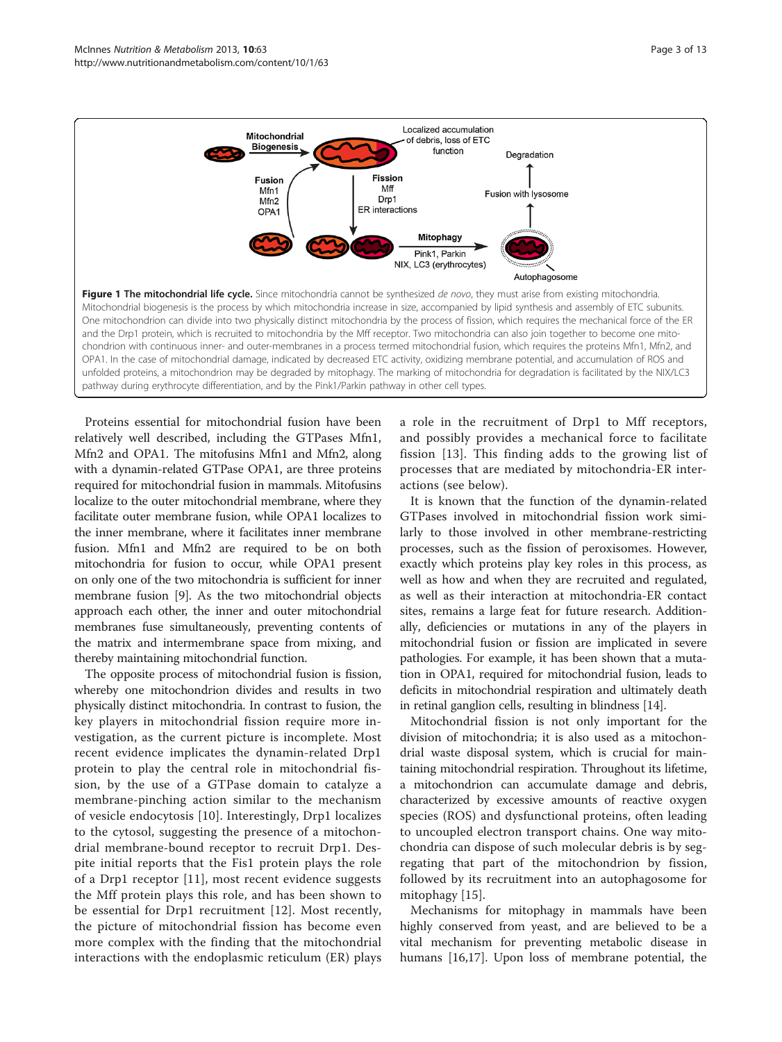<span id="page-2-0"></span>

Proteins essential for mitochondrial fusion have been relatively well described, including the GTPases Mfn1, Mfn2 and OPA1. The mitofusins Mfn1 and Mfn2, along with a dynamin-related GTPase OPA1, are three proteins required for mitochondrial fusion in mammals. Mitofusins localize to the outer mitochondrial membrane, where they facilitate outer membrane fusion, while OPA1 localizes to the inner membrane, where it facilitates inner membrane fusion. Mfn1 and Mfn2 are required to be on both mitochondria for fusion to occur, while OPA1 present on only one of the two mitochondria is sufficient for inner membrane fusion [\[9\]](#page-10-0). As the two mitochondrial objects approach each other, the inner and outer mitochondrial membranes fuse simultaneously, preventing contents of the matrix and intermembrane space from mixing, and thereby maintaining mitochondrial function.

The opposite process of mitochondrial fusion is fission, whereby one mitochondrion divides and results in two physically distinct mitochondria. In contrast to fusion, the key players in mitochondrial fission require more investigation, as the current picture is incomplete. Most recent evidence implicates the dynamin-related Drp1 protein to play the central role in mitochondrial fission, by the use of a GTPase domain to catalyze a membrane-pinching action similar to the mechanism of vesicle endocytosis [[10](#page-10-0)]. Interestingly, Drp1 localizes to the cytosol, suggesting the presence of a mitochondrial membrane-bound receptor to recruit Drp1. Despite initial reports that the Fis1 protein plays the role of a Drp1 receptor [[11\]](#page-10-0), most recent evidence suggests the Mff protein plays this role, and has been shown to be essential for Drp1 recruitment [\[12](#page-10-0)]. Most recently, the picture of mitochondrial fission has become even more complex with the finding that the mitochondrial interactions with the endoplasmic reticulum (ER) plays a role in the recruitment of Drp1 to Mff receptors, and possibly provides a mechanical force to facilitate fission [[13](#page-10-0)]. This finding adds to the growing list of processes that are mediated by mitochondria-ER interactions (see below).

It is known that the function of the dynamin-related GTPases involved in mitochondrial fission work similarly to those involved in other membrane-restricting processes, such as the fission of peroxisomes. However, exactly which proteins play key roles in this process, as well as how and when they are recruited and regulated, as well as their interaction at mitochondria-ER contact sites, remains a large feat for future research. Additionally, deficiencies or mutations in any of the players in mitochondrial fusion or fission are implicated in severe pathologies. For example, it has been shown that a mutation in OPA1, required for mitochondrial fusion, leads to deficits in mitochondrial respiration and ultimately death in retinal ganglion cells, resulting in blindness [[14\]](#page-10-0).

Mitochondrial fission is not only important for the division of mitochondria; it is also used as a mitochondrial waste disposal system, which is crucial for maintaining mitochondrial respiration. Throughout its lifetime, a mitochondrion can accumulate damage and debris, characterized by excessive amounts of reactive oxygen species (ROS) and dysfunctional proteins, often leading to uncoupled electron transport chains. One way mitochondria can dispose of such molecular debris is by segregating that part of the mitochondrion by fission, followed by its recruitment into an autophagosome for mitophagy [[15](#page-10-0)].

Mechanisms for mitophagy in mammals have been highly conserved from yeast, and are believed to be a vital mechanism for preventing metabolic disease in humans [[16](#page-10-0),[17](#page-10-0)]. Upon loss of membrane potential, the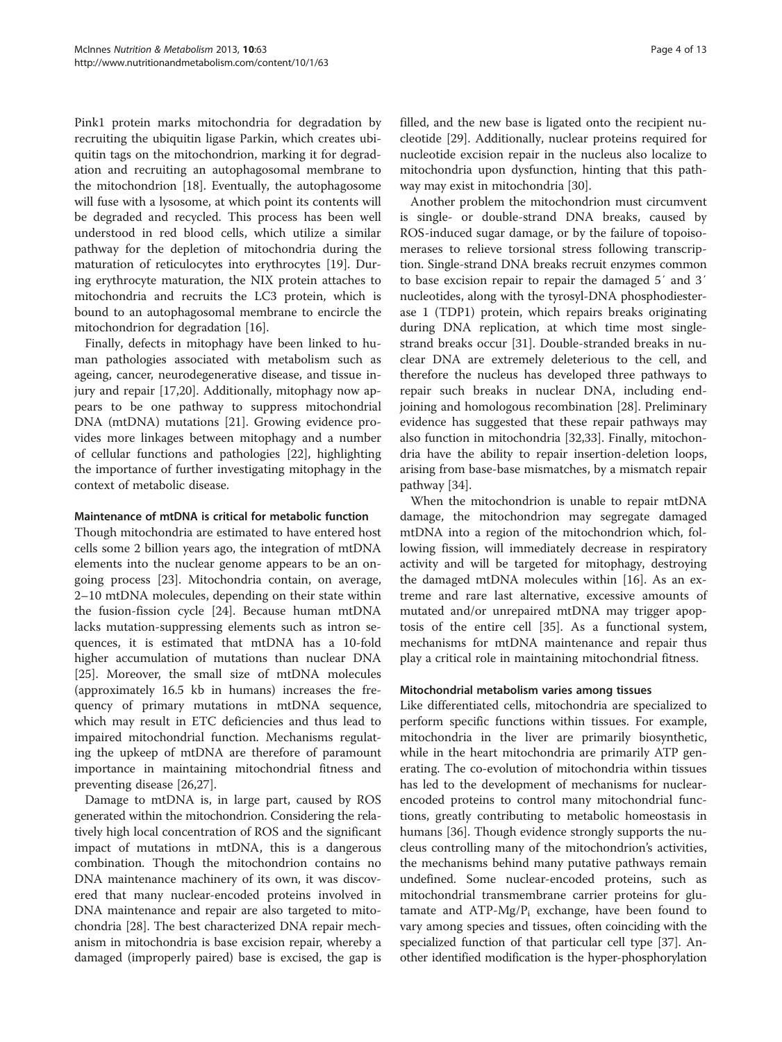Pink1 protein marks mitochondria for degradation by recruiting the ubiquitin ligase Parkin, which creates ubiquitin tags on the mitochondrion, marking it for degradation and recruiting an autophagosomal membrane to the mitochondrion [\[18\]](#page-10-0). Eventually, the autophagosome will fuse with a lysosome, at which point its contents will be degraded and recycled. This process has been well understood in red blood cells, which utilize a similar pathway for the depletion of mitochondria during the maturation of reticulocytes into erythrocytes [[19\]](#page-10-0). During erythrocyte maturation, the NIX protein attaches to mitochondria and recruits the LC3 protein, which is bound to an autophagosomal membrane to encircle the mitochondrion for degradation [[16\]](#page-10-0).

Finally, defects in mitophagy have been linked to human pathologies associated with metabolism such as ageing, cancer, neurodegenerative disease, and tissue injury and repair [\[17,20](#page-10-0)]. Additionally, mitophagy now appears to be one pathway to suppress mitochondrial DNA (mtDNA) mutations [\[21](#page-10-0)]. Growing evidence provides more linkages between mitophagy and a number of cellular functions and pathologies [[22](#page-10-0)], highlighting the importance of further investigating mitophagy in the context of metabolic disease.

#### Maintenance of mtDNA is critical for metabolic function

Though mitochondria are estimated to have entered host cells some 2 billion years ago, the integration of mtDNA elements into the nuclear genome appears to be an ongoing process [\[23\]](#page-10-0). Mitochondria contain, on average, 2–10 mtDNA molecules, depending on their state within the fusion-fission cycle [\[24](#page-10-0)]. Because human mtDNA lacks mutation-suppressing elements such as intron sequences, it is estimated that mtDNA has a 10-fold higher accumulation of mutations than nuclear DNA [[25\]](#page-10-0). Moreover, the small size of mtDNA molecules (approximately 16.5 kb in humans) increases the frequency of primary mutations in mtDNA sequence, which may result in ETC deficiencies and thus lead to impaired mitochondrial function. Mechanisms regulating the upkeep of mtDNA are therefore of paramount importance in maintaining mitochondrial fitness and preventing disease [[26,27\]](#page-10-0).

Damage to mtDNA is, in large part, caused by ROS generated within the mitochondrion. Considering the relatively high local concentration of ROS and the significant impact of mutations in mtDNA, this is a dangerous combination. Though the mitochondrion contains no DNA maintenance machinery of its own, it was discovered that many nuclear-encoded proteins involved in DNA maintenance and repair are also targeted to mitochondria [[28\]](#page-10-0). The best characterized DNA repair mechanism in mitochondria is base excision repair, whereby a damaged (improperly paired) base is excised, the gap is filled, and the new base is ligated onto the recipient nucleotide [\[29](#page-11-0)]. Additionally, nuclear proteins required for nucleotide excision repair in the nucleus also localize to mitochondria upon dysfunction, hinting that this pathway may exist in mitochondria [[30](#page-11-0)].

Another problem the mitochondrion must circumvent is single- or double-strand DNA breaks, caused by ROS-induced sugar damage, or by the failure of topoisomerases to relieve torsional stress following transcription. Single-strand DNA breaks recruit enzymes common to base excision repair to repair the damaged 5′ and 3′ nucleotides, along with the tyrosyl-DNA phosphodiesterase 1 (TDP1) protein, which repairs breaks originating during DNA replication, at which time most singlestrand breaks occur [[31\]](#page-11-0). Double-stranded breaks in nuclear DNA are extremely deleterious to the cell, and therefore the nucleus has developed three pathways to repair such breaks in nuclear DNA, including endjoining and homologous recombination [\[28\]](#page-10-0). Preliminary evidence has suggested that these repair pathways may also function in mitochondria [\[32,33](#page-11-0)]. Finally, mitochondria have the ability to repair insertion-deletion loops, arising from base-base mismatches, by a mismatch repair pathway [\[34](#page-11-0)].

When the mitochondrion is unable to repair mtDNA damage, the mitochondrion may segregate damaged mtDNA into a region of the mitochondrion which, following fission, will immediately decrease in respiratory activity and will be targeted for mitophagy, destroying the damaged mtDNA molecules within [[16](#page-10-0)]. As an extreme and rare last alternative, excessive amounts of mutated and/or unrepaired mtDNA may trigger apoptosis of the entire cell [[35\]](#page-11-0). As a functional system, mechanisms for mtDNA maintenance and repair thus play a critical role in maintaining mitochondrial fitness.

#### Mitochondrial metabolism varies among tissues

Like differentiated cells, mitochondria are specialized to perform specific functions within tissues. For example, mitochondria in the liver are primarily biosynthetic, while in the heart mitochondria are primarily ATP generating. The co-evolution of mitochondria within tissues has led to the development of mechanisms for nuclearencoded proteins to control many mitochondrial functions, greatly contributing to metabolic homeostasis in humans [\[36](#page-11-0)]. Though evidence strongly supports the nucleus controlling many of the mitochondrion's activities, the mechanisms behind many putative pathways remain undefined. Some nuclear-encoded proteins, such as mitochondrial transmembrane carrier proteins for glutamate and  $ATP-Mg/P_i$  exchange, have been found to vary among species and tissues, often coinciding with the specialized function of that particular cell type [\[37\]](#page-11-0). Another identified modification is the hyper-phosphorylation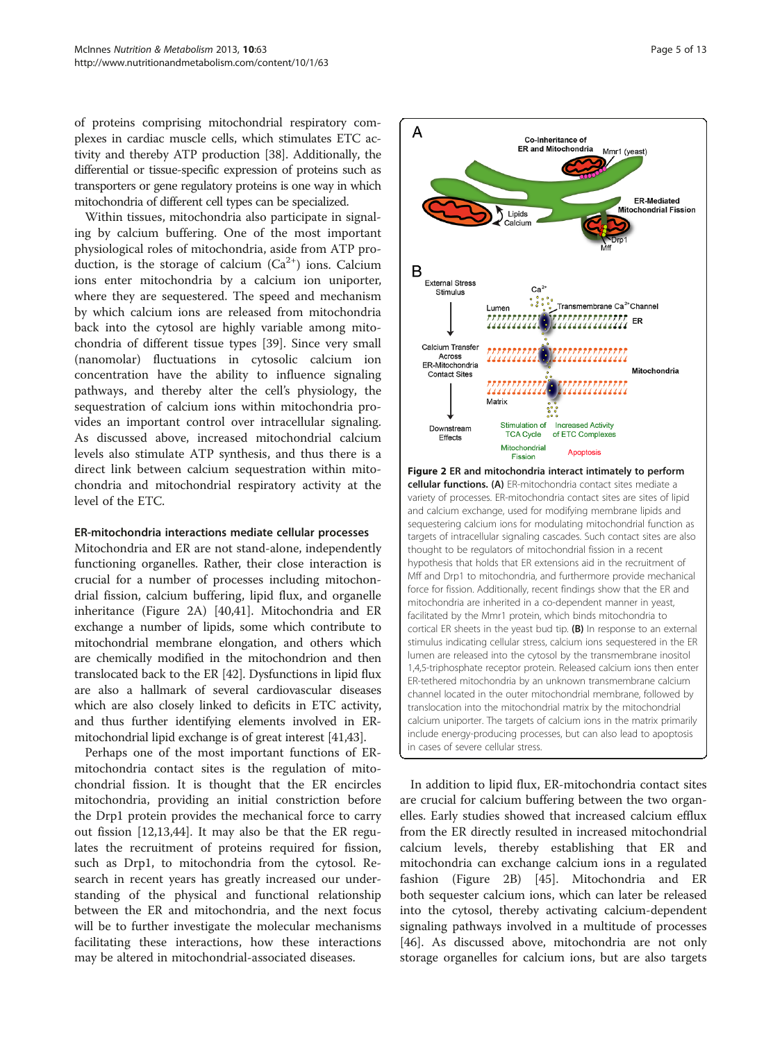of proteins comprising mitochondrial respiratory complexes in cardiac muscle cells, which stimulates ETC activity and thereby ATP production [[38](#page-11-0)]. Additionally, the differential or tissue-specific expression of proteins such as transporters or gene regulatory proteins is one way in which mitochondria of different cell types can be specialized.

Within tissues, mitochondria also participate in signaling by calcium buffering. One of the most important physiological roles of mitochondria, aside from ATP production, is the storage of calcium  $(Ca^{2+})$  ions. Calcium ions enter mitochondria by a calcium ion uniporter, where they are sequestered. The speed and mechanism by which calcium ions are released from mitochondria back into the cytosol are highly variable among mitochondria of different tissue types [[39\]](#page-11-0). Since very small (nanomolar) fluctuations in cytosolic calcium ion concentration have the ability to influence signaling pathways, and thereby alter the cell's physiology, the sequestration of calcium ions within mitochondria provides an important control over intracellular signaling. As discussed above, increased mitochondrial calcium levels also stimulate ATP synthesis, and thus there is a direct link between calcium sequestration within mitochondria and mitochondrial respiratory activity at the level of the ETC.

#### ER-mitochondria interactions mediate cellular processes

Mitochondria and ER are not stand-alone, independently functioning organelles. Rather, their close interaction is crucial for a number of processes including mitochondrial fission, calcium buffering, lipid flux, and organelle inheritance (Figure 2A) [\[40,41](#page-11-0)]. Mitochondria and ER exchange a number of lipids, some which contribute to mitochondrial membrane elongation, and others which are chemically modified in the mitochondrion and then translocated back to the ER [\[42\]](#page-11-0). Dysfunctions in lipid flux are also a hallmark of several cardiovascular diseases which are also closely linked to deficits in ETC activity, and thus further identifying elements involved in ERmitochondrial lipid exchange is of great interest [[41,43](#page-11-0)].

Perhaps one of the most important functions of ERmitochondria contact sites is the regulation of mitochondrial fission. It is thought that the ER encircles mitochondria, providing an initial constriction before the Drp1 protein provides the mechanical force to carry out fission [[12,13,](#page-10-0)[44\]](#page-11-0). It may also be that the ER regulates the recruitment of proteins required for fission, such as Drp1, to mitochondria from the cytosol. Research in recent years has greatly increased our understanding of the physical and functional relationship between the ER and mitochondria, and the next focus will be to further investigate the molecular mechanisms facilitating these interactions, how these interactions may be altered in mitochondrial-associated diseases.



Figure 2 ER and mitochondria interact intimately to perform cellular functions. (A) ER-mitochondria contact sites mediate a variety of processes. ER-mitochondria contact sites are sites of lipid and calcium exchange, used for modifying membrane lipids and sequestering calcium ions for modulating mitochondrial function as targets of intracellular signaling cascades. Such contact sites are also thought to be regulators of mitochondrial fission in a recent hypothesis that holds that ER extensions aid in the recruitment of Mff and Drp1 to mitochondria, and furthermore provide mechanical force for fission. Additionally, recent findings show that the ER and mitochondria are inherited in a co-dependent manner in yeast, facilitated by the Mmr1 protein, which binds mitochondria to cortical ER sheets in the yeast bud tip. (B) In response to an external stimulus indicating cellular stress, calcium ions sequestered in the ER lumen are released into the cytosol by the transmembrane inositol 1,4,5-triphosphate receptor protein. Released calcium ions then enter ER-tethered mitochondria by an unknown transmembrane calcium channel located in the outer mitochondrial membrane, followed by translocation into the mitochondrial matrix by the mitochondrial calcium uniporter. The targets of calcium ions in the matrix primarily include energy-producing processes, but can also lead to apoptosis in cases of severe cellular stress.

In addition to lipid flux, ER-mitochondria contact sites are crucial for calcium buffering between the two organelles. Early studies showed that increased calcium efflux from the ER directly resulted in increased mitochondrial calcium levels, thereby establishing that ER and mitochondria can exchange calcium ions in a regulated fashion (Figure 2B) [[45](#page-11-0)]. Mitochondria and ER both sequester calcium ions, which can later be released into the cytosol, thereby activating calcium-dependent signaling pathways involved in a multitude of processes [[46\]](#page-11-0). As discussed above, mitochondria are not only storage organelles for calcium ions, but are also targets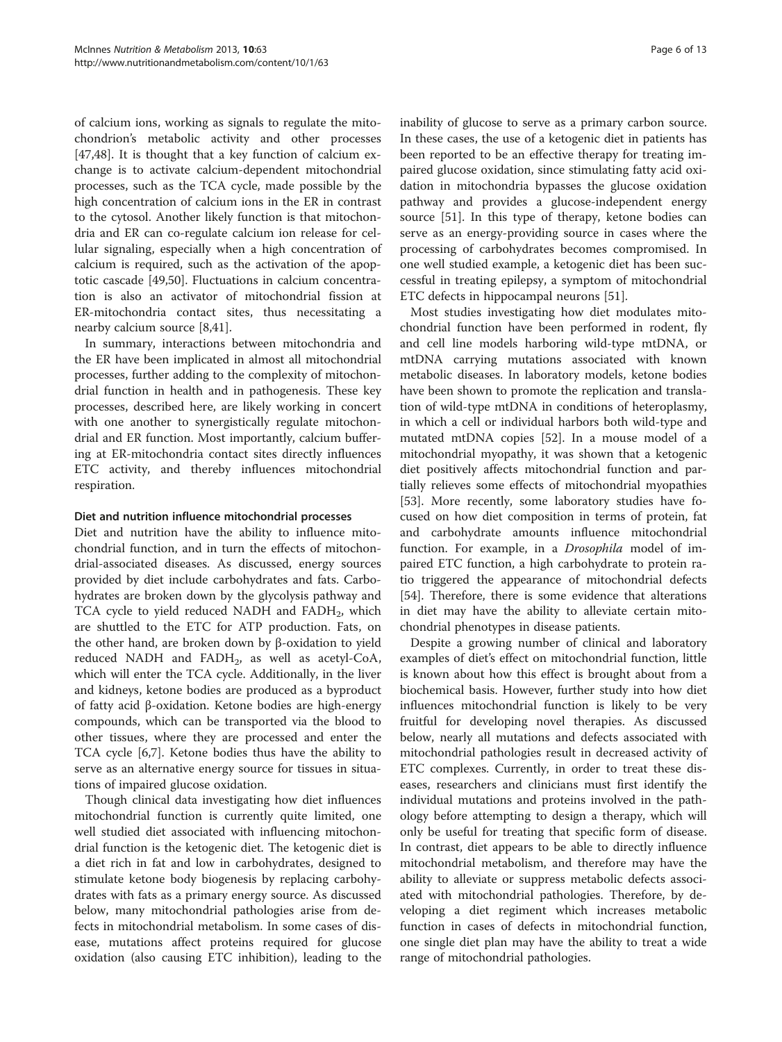of calcium ions, working as signals to regulate the mitochondrion's metabolic activity and other processes [[47,48\]](#page-11-0). It is thought that a key function of calcium exchange is to activate calcium-dependent mitochondrial processes, such as the TCA cycle, made possible by the high concentration of calcium ions in the ER in contrast to the cytosol. Another likely function is that mitochondria and ER can co-regulate calcium ion release for cellular signaling, especially when a high concentration of calcium is required, such as the activation of the apoptotic cascade [\[49,50\]](#page-11-0). Fluctuations in calcium concentration is also an activator of mitochondrial fission at ER-mitochondria contact sites, thus necessitating a nearby calcium source [[8](#page-10-0),[41](#page-11-0)].

In summary, interactions between mitochondria and the ER have been implicated in almost all mitochondrial processes, further adding to the complexity of mitochondrial function in health and in pathogenesis. These key processes, described here, are likely working in concert with one another to synergistically regulate mitochondrial and ER function. Most importantly, calcium buffering at ER-mitochondria contact sites directly influences ETC activity, and thereby influences mitochondrial respiration.

#### Diet and nutrition influence mitochondrial processes

Diet and nutrition have the ability to influence mitochondrial function, and in turn the effects of mitochondrial-associated diseases. As discussed, energy sources provided by diet include carbohydrates and fats. Carbohydrates are broken down by the glycolysis pathway and TCA cycle to yield reduced NADH and  $FADH<sub>2</sub>$ , which are shuttled to the ETC for ATP production. Fats, on the other hand, are broken down by β-oxidation to yield reduced NADH and FADH $_2$ , as well as acetyl-CoA, which will enter the TCA cycle. Additionally, in the liver and kidneys, ketone bodies are produced as a byproduct of fatty acid β-oxidation. Ketone bodies are high-energy compounds, which can be transported via the blood to other tissues, where they are processed and enter the TCA cycle [\[6,7\]](#page-10-0). Ketone bodies thus have the ability to serve as an alternative energy source for tissues in situations of impaired glucose oxidation.

Though clinical data investigating how diet influences mitochondrial function is currently quite limited, one well studied diet associated with influencing mitochondrial function is the ketogenic diet. The ketogenic diet is a diet rich in fat and low in carbohydrates, designed to stimulate ketone body biogenesis by replacing carbohydrates with fats as a primary energy source. As discussed below, many mitochondrial pathologies arise from defects in mitochondrial metabolism. In some cases of disease, mutations affect proteins required for glucose oxidation (also causing ETC inhibition), leading to the inability of glucose to serve as a primary carbon source. In these cases, the use of a ketogenic diet in patients has been reported to be an effective therapy for treating impaired glucose oxidation, since stimulating fatty acid oxidation in mitochondria bypasses the glucose oxidation pathway and provides a glucose-independent energy source [[51\]](#page-11-0). In this type of therapy, ketone bodies can serve as an energy-providing source in cases where the processing of carbohydrates becomes compromised. In one well studied example, a ketogenic diet has been successful in treating epilepsy, a symptom of mitochondrial ETC defects in hippocampal neurons [\[51](#page-11-0)].

Most studies investigating how diet modulates mitochondrial function have been performed in rodent, fly and cell line models harboring wild-type mtDNA, or mtDNA carrying mutations associated with known metabolic diseases. In laboratory models, ketone bodies have been shown to promote the replication and translation of wild-type mtDNA in conditions of heteroplasmy, in which a cell or individual harbors both wild-type and mutated mtDNA copies [\[52](#page-11-0)]. In a mouse model of a mitochondrial myopathy, it was shown that a ketogenic diet positively affects mitochondrial function and partially relieves some effects of mitochondrial myopathies [[53\]](#page-11-0). More recently, some laboratory studies have focused on how diet composition in terms of protein, fat and carbohydrate amounts influence mitochondrial function. For example, in a Drosophila model of impaired ETC function, a high carbohydrate to protein ratio triggered the appearance of mitochondrial defects [[54\]](#page-11-0). Therefore, there is some evidence that alterations in diet may have the ability to alleviate certain mitochondrial phenotypes in disease patients.

Despite a growing number of clinical and laboratory examples of diet's effect on mitochondrial function, little is known about how this effect is brought about from a biochemical basis. However, further study into how diet influences mitochondrial function is likely to be very fruitful for developing novel therapies. As discussed below, nearly all mutations and defects associated with mitochondrial pathologies result in decreased activity of ETC complexes. Currently, in order to treat these diseases, researchers and clinicians must first identify the individual mutations and proteins involved in the pathology before attempting to design a therapy, which will only be useful for treating that specific form of disease. In contrast, diet appears to be able to directly influence mitochondrial metabolism, and therefore may have the ability to alleviate or suppress metabolic defects associated with mitochondrial pathologies. Therefore, by developing a diet regiment which increases metabolic function in cases of defects in mitochondrial function, one single diet plan may have the ability to treat a wide range of mitochondrial pathologies.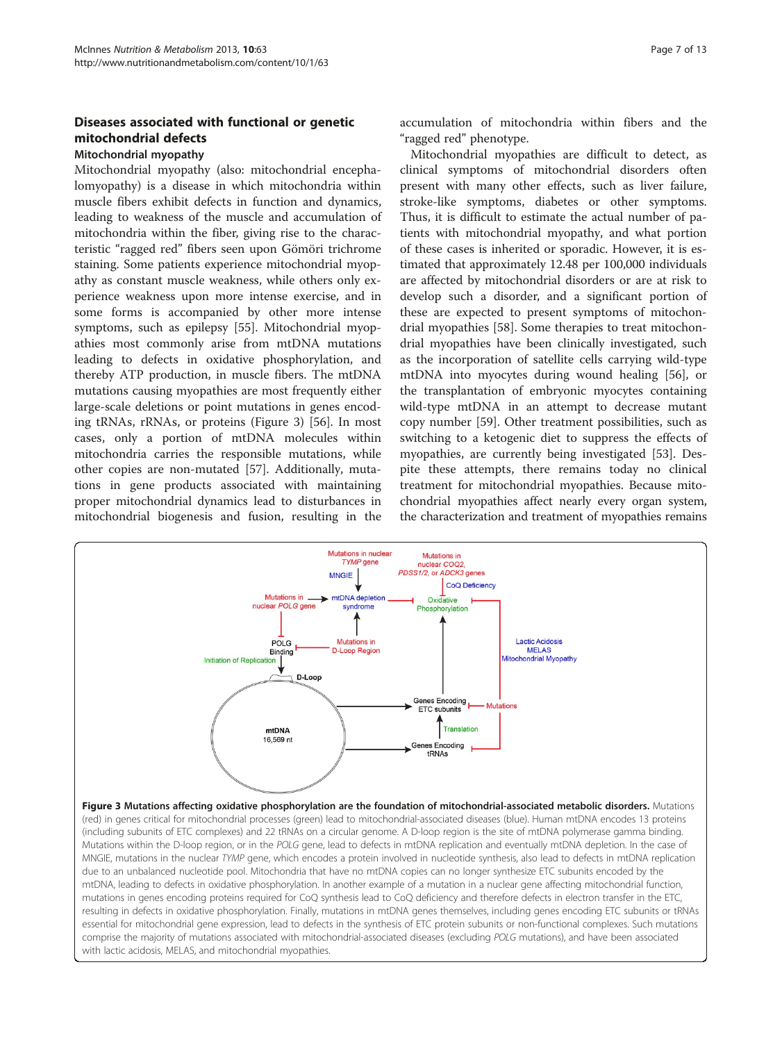# Diseases associated with functional or genetic mitochondrial defects

# Mitochondrial myopathy

Mitochondrial myopathy (also: mitochondrial encephalomyopathy) is a disease in which mitochondria within muscle fibers exhibit defects in function and dynamics, leading to weakness of the muscle and accumulation of mitochondria within the fiber, giving rise to the characteristic "ragged red" fibers seen upon Gömöri trichrome staining. Some patients experience mitochondrial myopathy as constant muscle weakness, while others only experience weakness upon more intense exercise, and in some forms is accompanied by other more intense symptoms, such as epilepsy [\[55](#page-11-0)]. Mitochondrial myopathies most commonly arise from mtDNA mutations leading to defects in oxidative phosphorylation, and thereby ATP production, in muscle fibers. The mtDNA mutations causing myopathies are most frequently either large-scale deletions or point mutations in genes encoding tRNAs, rRNAs, or proteins (Figure 3) [[56\]](#page-11-0). In most cases, only a portion of mtDNA molecules within mitochondria carries the responsible mutations, while other copies are non-mutated [[57\]](#page-11-0). Additionally, mutations in gene products associated with maintaining proper mitochondrial dynamics lead to disturbances in mitochondrial biogenesis and fusion, resulting in the

accumulation of mitochondria within fibers and the "ragged red" phenotype.

Mitochondrial myopathies are difficult to detect, as clinical symptoms of mitochondrial disorders often present with many other effects, such as liver failure, stroke-like symptoms, diabetes or other symptoms. Thus, it is difficult to estimate the actual number of patients with mitochondrial myopathy, and what portion of these cases is inherited or sporadic. However, it is estimated that approximately 12.48 per 100,000 individuals are affected by mitochondrial disorders or are at risk to develop such a disorder, and a significant portion of these are expected to present symptoms of mitochondrial myopathies [[58\]](#page-11-0). Some therapies to treat mitochondrial myopathies have been clinically investigated, such as the incorporation of satellite cells carrying wild-type mtDNA into myocytes during wound healing [[56](#page-11-0)], or the transplantation of embryonic myocytes containing wild-type mtDNA in an attempt to decrease mutant copy number [[59\]](#page-11-0). Other treatment possibilities, such as switching to a ketogenic diet to suppress the effects of myopathies, are currently being investigated [[53\]](#page-11-0). Despite these attempts, there remains today no clinical treatment for mitochondrial myopathies. Because mitochondrial myopathies affect nearly every organ system, the characterization and treatment of myopathies remains

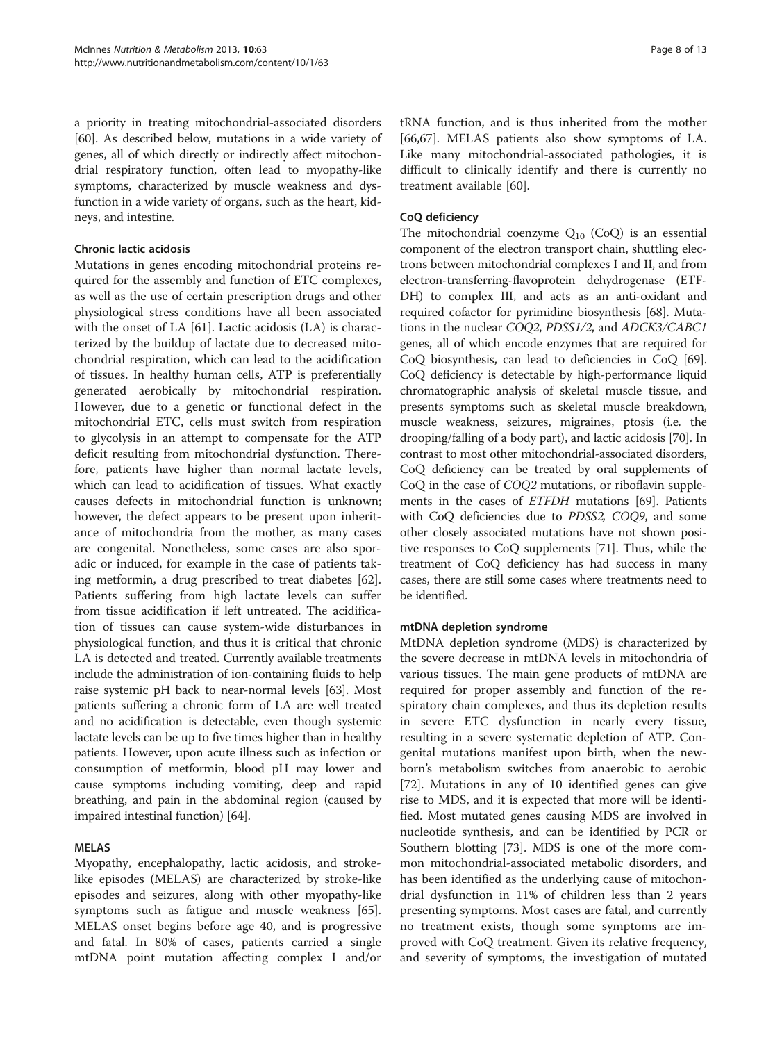a priority in treating mitochondrial-associated disorders [[60](#page-11-0)]. As described below, mutations in a wide variety of genes, all of which directly or indirectly affect mitochondrial respiratory function, often lead to myopathy-like symptoms, characterized by muscle weakness and dysfunction in a wide variety of organs, such as the heart, kidneys, and intestine.

#### Chronic lactic acidosis

Mutations in genes encoding mitochondrial proteins required for the assembly and function of ETC complexes, as well as the use of certain prescription drugs and other physiological stress conditions have all been associated with the onset of LA [\[61](#page-11-0)]. Lactic acidosis (LA) is characterized by the buildup of lactate due to decreased mitochondrial respiration, which can lead to the acidification of tissues. In healthy human cells, ATP is preferentially generated aerobically by mitochondrial respiration. However, due to a genetic or functional defect in the mitochondrial ETC, cells must switch from respiration to glycolysis in an attempt to compensate for the ATP deficit resulting from mitochondrial dysfunction. Therefore, patients have higher than normal lactate levels, which can lead to acidification of tissues. What exactly causes defects in mitochondrial function is unknown; however, the defect appears to be present upon inheritance of mitochondria from the mother, as many cases are congenital. Nonetheless, some cases are also sporadic or induced, for example in the case of patients taking metformin, a drug prescribed to treat diabetes [\[62](#page-11-0)]. Patients suffering from high lactate levels can suffer from tissue acidification if left untreated. The acidification of tissues can cause system-wide disturbances in physiological function, and thus it is critical that chronic LA is detected and treated. Currently available treatments include the administration of ion-containing fluids to help raise systemic pH back to near-normal levels [[63](#page-11-0)]. Most patients suffering a chronic form of LA are well treated and no acidification is detectable, even though systemic lactate levels can be up to five times higher than in healthy patients. However, upon acute illness such as infection or consumption of metformin, blood pH may lower and cause symptoms including vomiting, deep and rapid breathing, and pain in the abdominal region (caused by impaired intestinal function) [\[64\]](#page-11-0).

## MELAS

Myopathy, encephalopathy, lactic acidosis, and strokelike episodes (MELAS) are characterized by stroke-like episodes and seizures, along with other myopathy-like symptoms such as fatigue and muscle weakness [\[65](#page-11-0)]. MELAS onset begins before age 40, and is progressive and fatal. In 80% of cases, patients carried a single mtDNA point mutation affecting complex I and/or

tRNA function, and is thus inherited from the mother [[66,67\]](#page-11-0). MELAS patients also show symptoms of LA. Like many mitochondrial-associated pathologies, it is difficult to clinically identify and there is currently no treatment available [[60](#page-11-0)].

# CoQ deficiency

The mitochondrial coenzyme  $Q_{10}$  (CoQ) is an essential component of the electron transport chain, shuttling electrons between mitochondrial complexes I and II, and from electron-transferring-flavoprotein dehydrogenase (ETF-DH) to complex III, and acts as an anti-oxidant and required cofactor for pyrimidine biosynthesis [\[68\]](#page-11-0). Mutations in the nuclear COQ2, PDSS1/2, and ADCK3/CABC1 genes, all of which encode enzymes that are required for CoQ biosynthesis, can lead to deficiencies in CoQ [[69](#page-11-0)]. CoQ deficiency is detectable by high-performance liquid chromatographic analysis of skeletal muscle tissue, and presents symptoms such as skeletal muscle breakdown, muscle weakness, seizures, migraines, ptosis (i.e. the drooping/falling of a body part), and lactic acidosis [[70](#page-11-0)]. In contrast to most other mitochondrial-associated disorders, CoQ deficiency can be treated by oral supplements of CoQ in the case of COQ2 mutations, or riboflavin supplements in the cases of ETFDH mutations [\[69\]](#page-11-0). Patients with CoQ deficiencies due to PDSS2, COQ9, and some other closely associated mutations have not shown positive responses to CoQ supplements [\[71](#page-11-0)]. Thus, while the treatment of CoQ deficiency has had success in many cases, there are still some cases where treatments need to be identified.

## mtDNA depletion syndrome

MtDNA depletion syndrome (MDS) is characterized by the severe decrease in mtDNA levels in mitochondria of various tissues. The main gene products of mtDNA are required for proper assembly and function of the respiratory chain complexes, and thus its depletion results in severe ETC dysfunction in nearly every tissue, resulting in a severe systematic depletion of ATP. Congenital mutations manifest upon birth, when the newborn's metabolism switches from anaerobic to aerobic [[72\]](#page-11-0). Mutations in any of 10 identified genes can give rise to MDS, and it is expected that more will be identified. Most mutated genes causing MDS are involved in nucleotide synthesis, and can be identified by PCR or Southern blotting [\[73\]](#page-11-0). MDS is one of the more common mitochondrial-associated metabolic disorders, and has been identified as the underlying cause of mitochondrial dysfunction in 11% of children less than 2 years presenting symptoms. Most cases are fatal, and currently no treatment exists, though some symptoms are improved with CoQ treatment. Given its relative frequency, and severity of symptoms, the investigation of mutated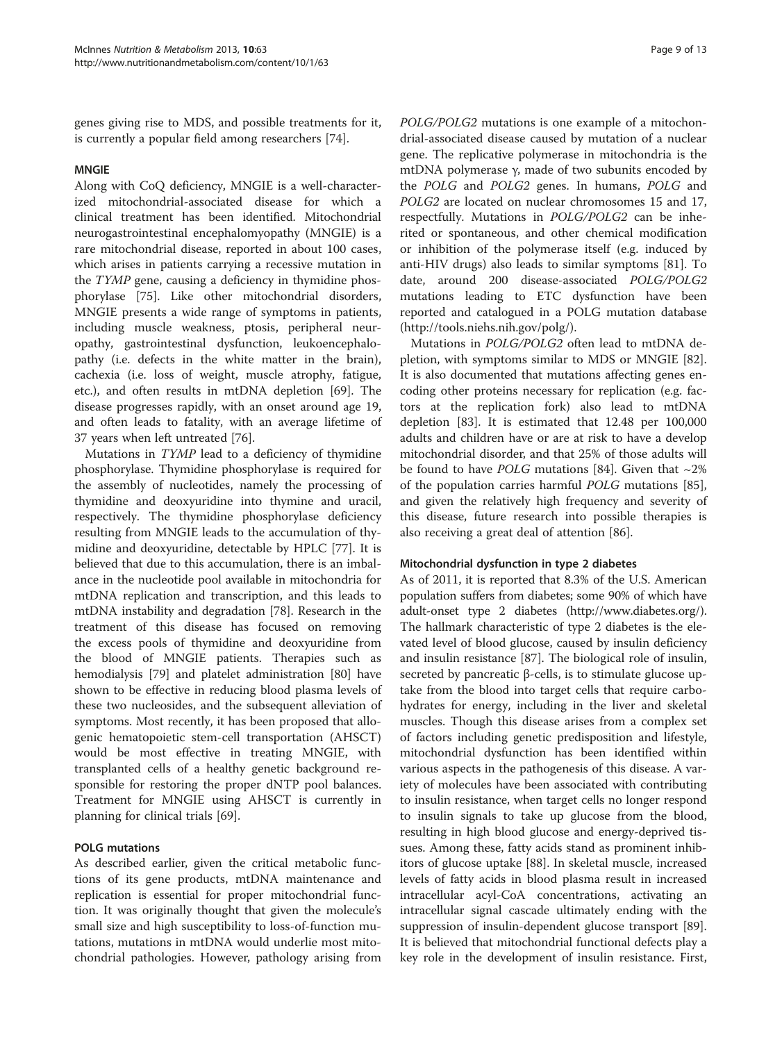genes giving rise to MDS, and possible treatments for it, is currently a popular field among researchers [\[74\]](#page-11-0).

#### MNGIE

Along with CoQ deficiency, MNGIE is a well-characterized mitochondrial-associated disease for which a clinical treatment has been identified. Mitochondrial neurogastrointestinal encephalomyopathy (MNGIE) is a rare mitochondrial disease, reported in about 100 cases, which arises in patients carrying a recessive mutation in the TYMP gene, causing a deficiency in thymidine phosphorylase [[75\]](#page-11-0). Like other mitochondrial disorders, MNGIE presents a wide range of symptoms in patients, including muscle weakness, ptosis, peripheral neuropathy, gastrointestinal dysfunction, leukoencephalopathy (i.e. defects in the white matter in the brain), cachexia (i.e. loss of weight, muscle atrophy, fatigue, etc.), and often results in mtDNA depletion [\[69](#page-11-0)]. The disease progresses rapidly, with an onset around age 19, and often leads to fatality, with an average lifetime of 37 years when left untreated [\[76](#page-11-0)].

Mutations in TYMP lead to a deficiency of thymidine phosphorylase. Thymidine phosphorylase is required for the assembly of nucleotides, namely the processing of thymidine and deoxyuridine into thymine and uracil, respectively. The thymidine phosphorylase deficiency resulting from MNGIE leads to the accumulation of thymidine and deoxyuridine, detectable by HPLC [[77](#page-11-0)]. It is believed that due to this accumulation, there is an imbalance in the nucleotide pool available in mitochondria for mtDNA replication and transcription, and this leads to mtDNA instability and degradation [[78](#page-12-0)]. Research in the treatment of this disease has focused on removing the excess pools of thymidine and deoxyuridine from the blood of MNGIE patients. Therapies such as hemodialysis [[79](#page-12-0)] and platelet administration [[80](#page-12-0)] have shown to be effective in reducing blood plasma levels of these two nucleosides, and the subsequent alleviation of symptoms. Most recently, it has been proposed that allogenic hematopoietic stem-cell transportation (AHSCT) would be most effective in treating MNGIE, with transplanted cells of a healthy genetic background responsible for restoring the proper dNTP pool balances. Treatment for MNGIE using AHSCT is currently in planning for clinical trials [\[69\]](#page-11-0).

## POLG mutations

As described earlier, given the critical metabolic functions of its gene products, mtDNA maintenance and replication is essential for proper mitochondrial function. It was originally thought that given the molecule's small size and high susceptibility to loss-of-function mutations, mutations in mtDNA would underlie most mitochondrial pathologies. However, pathology arising from POLG/POLG2 mutations is one example of a mitochondrial-associated disease caused by mutation of a nuclear gene. The replicative polymerase in mitochondria is the mtDNA polymerase γ, made of two subunits encoded by the POLG and POLG2 genes. In humans, POLG and POLG2 are located on nuclear chromosomes 15 and 17, respectfully. Mutations in POLG/POLG2 can be inherited or spontaneous, and other chemical modification or inhibition of the polymerase itself (e.g. induced by anti-HIV drugs) also leads to similar symptoms [\[81](#page-12-0)]. To date, around 200 disease-associated POLG/POLG2 mutations leading to ETC dysfunction have been reported and catalogued in a POLG mutation database (<http://tools.niehs.nih.gov/polg/>).

Mutations in POLG/POLG2 often lead to mtDNA depletion, with symptoms similar to MDS or MNGIE [\[82](#page-12-0)]. It is also documented that mutations affecting genes encoding other proteins necessary for replication (e.g. factors at the replication fork) also lead to mtDNA depletion [\[83](#page-12-0)]. It is estimated that 12.48 per 100,000 adults and children have or are at risk to have a develop mitochondrial disorder, and that 25% of those adults will be found to have *POLG* mutations [\[84\]](#page-12-0). Given that  $\sim$ 2% of the population carries harmful POLG mutations [\[85](#page-12-0)], and given the relatively high frequency and severity of this disease, future research into possible therapies is also receiving a great deal of attention [\[86\]](#page-12-0).

#### Mitochondrial dysfunction in type 2 diabetes

As of 2011, it is reported that 8.3% of the U.S. American population suffers from diabetes; some 90% of which have adult-onset type 2 diabetes [\(http://www.diabetes.org/](http://www.diabetes.org/)). The hallmark characteristic of type 2 diabetes is the elevated level of blood glucose, caused by insulin deficiency and insulin resistance [[87](#page-12-0)]. The biological role of insulin, secreted by pancreatic β-cells, is to stimulate glucose uptake from the blood into target cells that require carbohydrates for energy, including in the liver and skeletal muscles. Though this disease arises from a complex set of factors including genetic predisposition and lifestyle, mitochondrial dysfunction has been identified within various aspects in the pathogenesis of this disease. A variety of molecules have been associated with contributing to insulin resistance, when target cells no longer respond to insulin signals to take up glucose from the blood, resulting in high blood glucose and energy-deprived tissues. Among these, fatty acids stand as prominent inhibitors of glucose uptake [[88](#page-12-0)]. In skeletal muscle, increased levels of fatty acids in blood plasma result in increased intracellular acyl-CoA concentrations, activating an intracellular signal cascade ultimately ending with the suppression of insulin-dependent glucose transport [\[89](#page-12-0)]. It is believed that mitochondrial functional defects play a key role in the development of insulin resistance. First,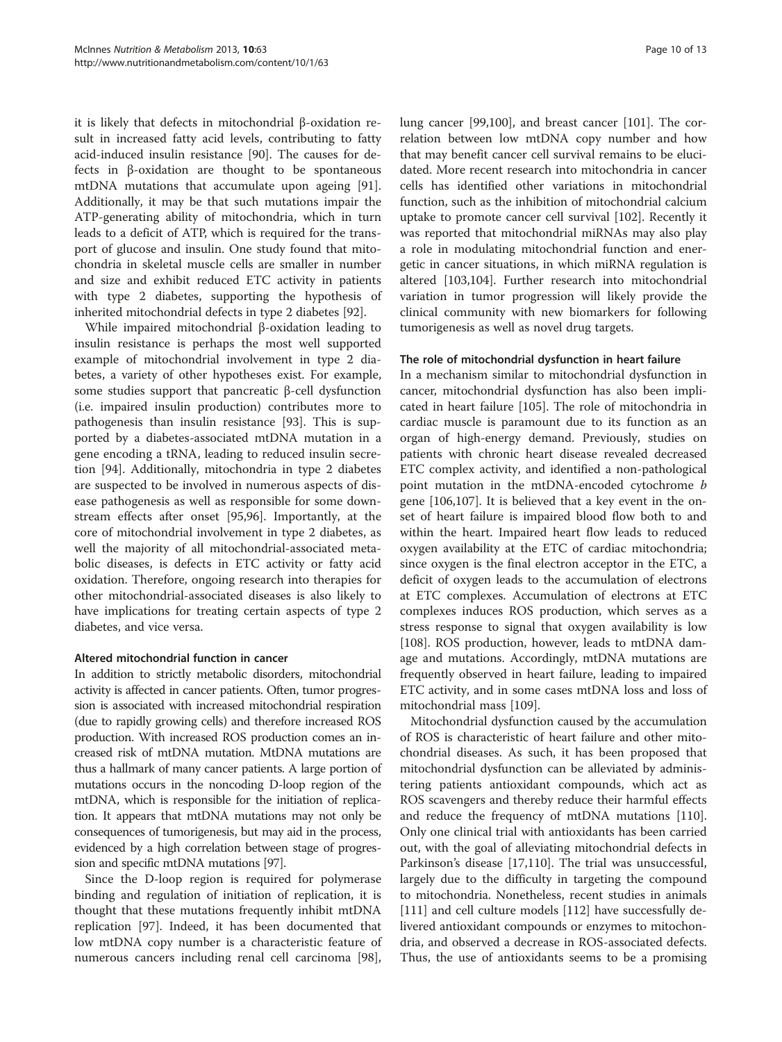it is likely that defects in mitochondrial β-oxidation result in increased fatty acid levels, contributing to fatty acid-induced insulin resistance [\[90\]](#page-12-0). The causes for defects in β-oxidation are thought to be spontaneous mtDNA mutations that accumulate upon ageing [\[91](#page-12-0)]. Additionally, it may be that such mutations impair the ATP-generating ability of mitochondria, which in turn leads to a deficit of ATP, which is required for the transport of glucose and insulin. One study found that mitochondria in skeletal muscle cells are smaller in number and size and exhibit reduced ETC activity in patients with type 2 diabetes, supporting the hypothesis of inherited mitochondrial defects in type 2 diabetes [\[92](#page-12-0)].

While impaired mitochondrial β-oxidation leading to insulin resistance is perhaps the most well supported example of mitochondrial involvement in type 2 diabetes, a variety of other hypotheses exist. For example, some studies support that pancreatic β-cell dysfunction (i.e. impaired insulin production) contributes more to pathogenesis than insulin resistance [\[93\]](#page-12-0). This is supported by a diabetes-associated mtDNA mutation in a gene encoding a tRNA, leading to reduced insulin secretion [\[94](#page-12-0)]. Additionally, mitochondria in type 2 diabetes are suspected to be involved in numerous aspects of disease pathogenesis as well as responsible for some downstream effects after onset [[95,96\]](#page-12-0). Importantly, at the core of mitochondrial involvement in type 2 diabetes, as well the majority of all mitochondrial-associated metabolic diseases, is defects in ETC activity or fatty acid oxidation. Therefore, ongoing research into therapies for other mitochondrial-associated diseases is also likely to have implications for treating certain aspects of type 2 diabetes, and vice versa.

#### Altered mitochondrial function in cancer

In addition to strictly metabolic disorders, mitochondrial activity is affected in cancer patients. Often, tumor progression is associated with increased mitochondrial respiration (due to rapidly growing cells) and therefore increased ROS production. With increased ROS production comes an increased risk of mtDNA mutation. MtDNA mutations are thus a hallmark of many cancer patients. A large portion of mutations occurs in the noncoding D-loop region of the mtDNA, which is responsible for the initiation of replication. It appears that mtDNA mutations may not only be consequences of tumorigenesis, but may aid in the process, evidenced by a high correlation between stage of progression and specific mtDNA mutations [[97](#page-12-0)].

Since the D-loop region is required for polymerase binding and regulation of initiation of replication, it is thought that these mutations frequently inhibit mtDNA replication [[97](#page-12-0)]. Indeed, it has been documented that low mtDNA copy number is a characteristic feature of numerous cancers including renal cell carcinoma [\[98](#page-12-0)], lung cancer [\[99,100](#page-12-0)], and breast cancer [[101\]](#page-12-0). The correlation between low mtDNA copy number and how that may benefit cancer cell survival remains to be elucidated. More recent research into mitochondria in cancer cells has identified other variations in mitochondrial function, such as the inhibition of mitochondrial calcium uptake to promote cancer cell survival [\[102\]](#page-12-0). Recently it was reported that mitochondrial miRNAs may also play a role in modulating mitochondrial function and energetic in cancer situations, in which miRNA regulation is altered [\[103,104\]](#page-12-0). Further research into mitochondrial variation in tumor progression will likely provide the clinical community with new biomarkers for following tumorigenesis as well as novel drug targets.

#### The role of mitochondrial dysfunction in heart failure

In a mechanism similar to mitochondrial dysfunction in cancer, mitochondrial dysfunction has also been implicated in heart failure [\[105\]](#page-12-0). The role of mitochondria in cardiac muscle is paramount due to its function as an organ of high-energy demand. Previously, studies on patients with chronic heart disease revealed decreased ETC complex activity, and identified a non-pathological point mutation in the mtDNA-encoded cytochrome b gene [\[106,107\]](#page-12-0). It is believed that a key event in the onset of heart failure is impaired blood flow both to and within the heart. Impaired heart flow leads to reduced oxygen availability at the ETC of cardiac mitochondria; since oxygen is the final electron acceptor in the ETC, a deficit of oxygen leads to the accumulation of electrons at ETC complexes. Accumulation of electrons at ETC complexes induces ROS production, which serves as a stress response to signal that oxygen availability is low [[108\]](#page-12-0). ROS production, however, leads to mtDNA damage and mutations. Accordingly, mtDNA mutations are frequently observed in heart failure, leading to impaired ETC activity, and in some cases mtDNA loss and loss of mitochondrial mass [[109](#page-12-0)].

Mitochondrial dysfunction caused by the accumulation of ROS is characteristic of heart failure and other mitochondrial diseases. As such, it has been proposed that mitochondrial dysfunction can be alleviated by administering patients antioxidant compounds, which act as ROS scavengers and thereby reduce their harmful effects and reduce the frequency of mtDNA mutations [[110](#page-12-0)]. Only one clinical trial with antioxidants has been carried out, with the goal of alleviating mitochondrial defects in Parkinson's disease [\[17,](#page-10-0)[110\]](#page-12-0). The trial was unsuccessful, largely due to the difficulty in targeting the compound to mitochondria. Nonetheless, recent studies in animals [[111\]](#page-12-0) and cell culture models [[112\]](#page-12-0) have successfully delivered antioxidant compounds or enzymes to mitochondria, and observed a decrease in ROS-associated defects. Thus, the use of antioxidants seems to be a promising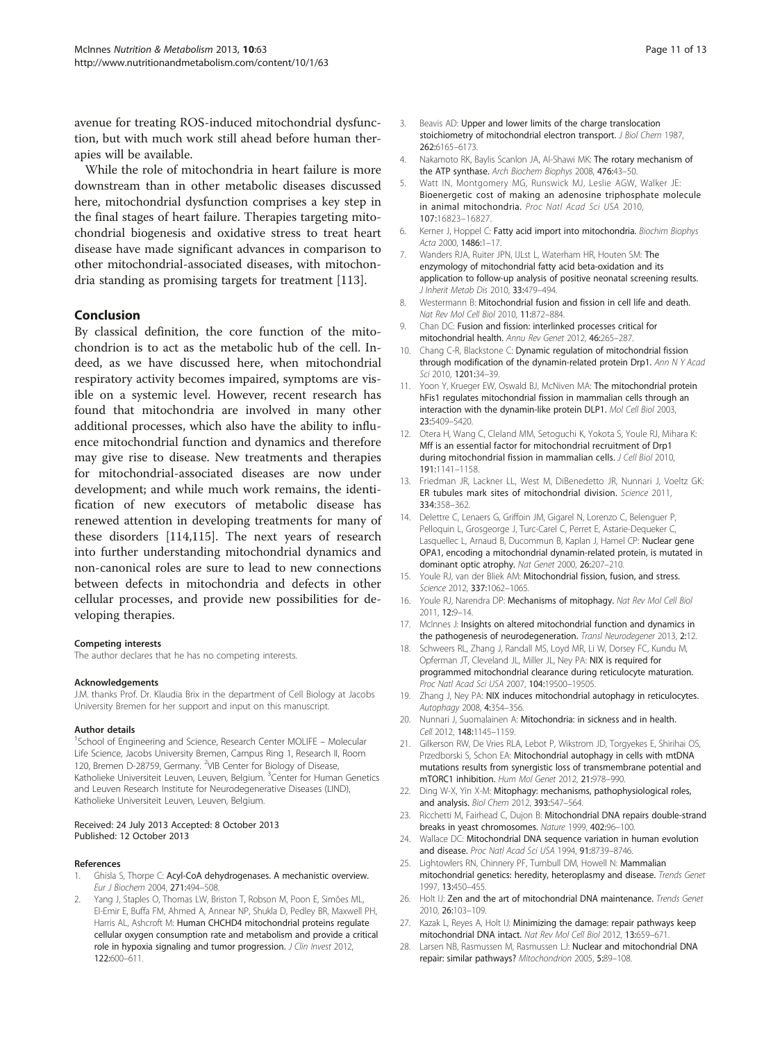<span id="page-10-0"></span>avenue for treating ROS-induced mitochondrial dysfunction, but with much work still ahead before human therapies will be available.

While the role of mitochondria in heart failure is more downstream than in other metabolic diseases discussed here, mitochondrial dysfunction comprises a key step in the final stages of heart failure. Therapies targeting mitochondrial biogenesis and oxidative stress to treat heart disease have made significant advances in comparison to other mitochondrial-associated diseases, with mitochondria standing as promising targets for treatment [[113](#page-12-0)].

#### Conclusion

By classical definition, the core function of the mitochondrion is to act as the metabolic hub of the cell. Indeed, as we have discussed here, when mitochondrial respiratory activity becomes impaired, symptoms are visible on a systemic level. However, recent research has found that mitochondria are involved in many other additional processes, which also have the ability to influence mitochondrial function and dynamics and therefore may give rise to disease. New treatments and therapies for mitochondrial-associated diseases are now under development; and while much work remains, the identification of new executors of metabolic disease has renewed attention in developing treatments for many of these disorders [\[114,115\]](#page-12-0). The next years of research into further understanding mitochondrial dynamics and non-canonical roles are sure to lead to new connections between defects in mitochondria and defects in other cellular processes, and provide new possibilities for developing therapies.

#### Competing interests

The author declares that he has no competing interests.

#### Acknowledgements

J.M. thanks Prof. Dr. Klaudia Brix in the department of Cell Biology at Jacobs University Bremen for her support and input on this manuscript.

#### Author details

<sup>1</sup>School of Engineering and Science, Research Center MOLIFE - Molecular Life Science, Jacobs University Bremen, Campus Ring 1, Research II, Room 120, Bremen D-28759, Germany. <sup>2</sup>VIB Center for Biology of Disease, Katholieke Universiteit Leuven, Leuven, Belgium. <sup>3</sup>Center for Human Genetics and Leuven Research Institute for Neurodegenerative Diseases (LIND), Katholieke Universiteit Leuven, Leuven, Belgium.

#### Received: 24 July 2013 Accepted: 8 October 2013 Published: 12 October 2013

#### References

- 1. Ghisla S, Thorpe C: Acyl-CoA dehydrogenases. A mechanistic overview. Eur J Biochem 2004, 271:494–508.
- Yang J, Staples O, Thomas LW, Briston T, Robson M, Poon E, Simões ML, El-Emir E, Buffa FM, Ahmed A, Annear NP, Shukla D, Pedley BR, Maxwell PH, Harris AL, Ashcroft M: Human CHCHD4 mitochondrial proteins regulate cellular oxygen consumption rate and metabolism and provide a critical role in hypoxia signaling and tumor progression. J Clin Invest 2012, 122:600–611.
- 3. Beavis AD: Upper and lower limits of the charge translocation stoichiometry of mitochondrial electron transport. J Biol Chem 1987, 262:6165–6173.
- Nakamoto RK, Baylis Scanlon JA, Al-Shawi MK: The rotary mechanism of the ATP synthase. Arch Biochem Biophys 2008, 476:43–50.
- 5. Watt IN, Montgomery MG, Runswick MJ, Leslie AGW, Walker JE: Bioenergetic cost of making an adenosine triphosphate molecule in animal mitochondria. Proc Natl Acad Sci USA 2010, 107:16823–16827.
- 6. Kerner J, Hoppel C: Fatty acid import into mitochondria. Biochim Biophys Acta 2000, 1486:1–17.
- 7. Wanders RJA, Ruiter JPN, IJLst L, Waterham HR, Houten SM: The enzymology of mitochondrial fatty acid beta-oxidation and its application to follow-up analysis of positive neonatal screening results. J Inherit Metab Dis 2010, 33:479–494.
- 8. Westermann B: Mitochondrial fusion and fission in cell life and death. Nat Rev Mol Cell Biol 2010, 11:872–884.
- 9. Chan DC: Fusion and fission: interlinked processes critical for mitochondrial health. Annu Rev Genet 2012, 46:265–287.
- 10. Chang C-R, Blackstone C: Dynamic regulation of mitochondrial fission through modification of the dynamin-related protein Drp1. Ann N Y Acad Sci 2010, 1201:34-39.
- 11. Yoon Y, Krueger EW, Oswald BJ, McNiven MA: The mitochondrial protein hFis1 regulates mitochondrial fission in mammalian cells through an interaction with the dynamin-like protein DLP1. Mol Cell Biol 2003, 23:5409–5420.
- 12. Otera H, Wang C, Cleland MM, Setoguchi K, Yokota S, Youle RJ, Mihara K: Mff is an essential factor for mitochondrial recruitment of Drp1 during mitochondrial fission in mammalian cells. J Cell Biol 2010, 191:1141–1158.
- 13. Friedman JR, Lackner LL, West M, DiBenedetto JR, Nunnari J, Voeltz GK: ER tubules mark sites of mitochondrial division. Science 2011, 334:358–362.
- 14. Delettre C, Lenaers G, Griffoin JM, Gigarel N, Lorenzo C, Belenguer P, Pelloquin L, Grosgeorge J, Turc-Carel C, Perret E, Astarie-Dequeker C, Lasquellec L, Arnaud B, Ducommun B, Kaplan J, Hamel CP: Nuclear gene OPA1, encoding a mitochondrial dynamin-related protein, is mutated in dominant optic atrophy. Nat Genet 2000, 26:207–210.
- 15. Youle RJ, van der Bliek AM: Mitochondrial fission, fusion, and stress. Science 2012, 337:1062-1065.
- 16. Youle RJ, Narendra DP: Mechanisms of mitophagy. Nat Rev Mol Cell Biol 2011, 12:9–14.
- 17. McInnes J: Insights on altered mitochondrial function and dynamics in the pathogenesis of neurodegeneration. Transl Neurodegener 2013, 2:12.
- 18. Schweers RL, Zhang J, Randall MS, Loyd MR, Li W, Dorsey FC, Kundu M, Opferman JT, Cleveland JL, Miller JL, Ney PA: NIX is required for programmed mitochondrial clearance during reticulocyte maturation. Proc Natl Acad Sci USA 2007, 104:19500–19505.
- 19. Zhang J, Ney PA: NIX induces mitochondrial autophagy in reticulocytes. Autophagy 2008, 4:354-356.
- 20. Nunnari J. Suomalainen A: Mitochondria: in sickness and in health. Cell 2012, 148:1145–1159.
- 21. Gilkerson RW, De Vries RLA, Lebot P, Wikstrom JD, Torgyekes E, Shirihai OS, Przedborski S, Schon EA: Mitochondrial autophagy in cells with mtDNA mutations results from synergistic loss of transmembrane potential and mTORC1 inhibition. Hum Mol Genet 2012, 21:978–990.
- 22. Ding W-X, Yin X-M: Mitophagy: mechanisms, pathophysiological roles, and analysis. Biol Chem 2012, 393:547–564.
- 23. Ricchetti M, Fairhead C, Dujon B: Mitochondrial DNA repairs double-strand breaks in yeast chromosomes. Nature 1999, 402:96–100.
- 24. Wallace DC: Mitochondrial DNA sequence variation in human evolution and disease. Proc Natl Acad Sci USA 1994, 91:8739–8746.
- 25. Lightowlers RN, Chinnery PF, Turnbull DM, Howell N: Mammalian mitochondrial genetics: heredity, heteroplasmy and disease. Trends Genet 1997, 13:450–455.
- 26. Holt IJ: Zen and the art of mitochondrial DNA maintenance. Trends Genet 2010, 26:103–109.
- 27. Kazak L, Reyes A, Holt IJ: Minimizing the damage: repair pathways keep mitochondrial DNA intact. Nat Rev Mol Cell Biol 2012, 13:659–671.
- 28. Larsen NB, Rasmussen M, Rasmussen LJ: Nuclear and mitochondrial DNA repair: similar pathways? Mitochondrion 2005, 5:89–108.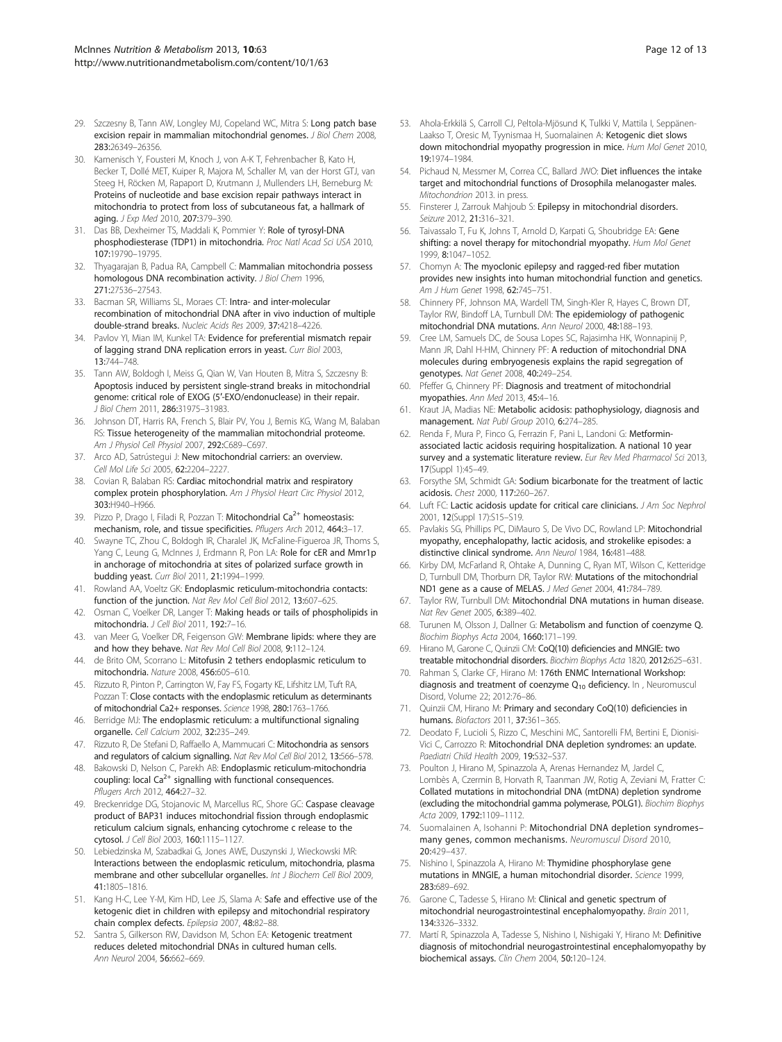- <span id="page-11-0"></span>29. Szczesny B, Tann AW, Longley MJ, Copeland WC, Mitra S: Long patch base excision repair in mammalian mitochondrial genomes. *J Biol Chem 2008*, 283:26349–26356.
- 30. Kamenisch Y, Fousteri M, Knoch J, von A-K T, Fehrenbacher B, Kato H, Becker T, Dollé MET, Kuiper R, Majora M, Schaller M, van der Horst GTJ, van Steeg H, Röcken M, Rapaport D, Krutmann J, Mullenders LH, Berneburg M: Proteins of nucleotide and base excision repair pathways interact in mitochondria to protect from loss of subcutaneous fat, a hallmark of aging. J Exp Med 2010, 207:379-390.
- 31. Das BB, Dexheimer TS, Maddali K, Pommier Y: Role of tyrosyl-DNA phosphodiesterase (TDP1) in mitochondria. Proc Natl Acad Sci USA 2010, 107:19790–19795.
- 32. Thyagarajan B, Padua RA, Campbell C: Mammalian mitochondria possess homologous DNA recombination activity. J Biol Chem 1996, 271:27536–27543.
- 33. Bacman SR, Williams SL, Moraes CT: Intra- and inter-molecular recombination of mitochondrial DNA after in vivo induction of multiple double-strand breaks. Nucleic Acids Res 2009, 37:4218–4226.
- 34. Pavlov YI, Mian IM, Kunkel TA: Evidence for preferential mismatch repair of lagging strand DNA replication errors in yeast. Curr Biol 2003, 13:744–748.
- 35. Tann AW, Boldogh I, Meiss G, Qian W, Van Houten B, Mitra S, Szczesny B: Apoptosis induced by persistent single-strand breaks in mitochondrial genome: critical role of EXOG (5′-EXO/endonuclease) in their repair. J Biol Chem 2011, 286:31975–31983.
- 36. Johnson DT, Harris RA, French S, Blair PV, You J, Bemis KG, Wang M, Balaban RS: Tissue heterogeneity of the mammalian mitochondrial proteome. Am J Physiol Cell Physiol 2007, 292:C689–C697.
- 37. Arco AD, Satrústegui J: New mitochondrial carriers: an overview. Cell Mol Life Sci 2005, 62:2204–2227.
- 38. Covian R, Balaban RS: Cardiac mitochondrial matrix and respiratory complex protein phosphorylation. Am J Physiol Heart Circ Physiol 2012, 303:H940–H966.
- 39. Pizzo P, Drago I, Filadi R, Pozzan T: Mitochondrial Ca<sup>2+</sup> homeostasis: mechanism, role, and tissue specificities. Pflugers Arch 2012, 464:3-17.
- 40. Swayne TC, Zhou C, Boldogh IR, Charalel JK, McFaline-Figueroa JR, Thoms S, Yang C, Leung G, McInnes J, Erdmann R, Pon LA: Role for cER and Mmr1p in anchorage of mitochondria at sites of polarized surface growth in budding yeast. Curr Biol 2011, 21:1994–1999.
- 41. Rowland AA, Voeltz GK: Endoplasmic reticulum-mitochondria contacts: function of the junction. Nat Rev Mol Cell Biol 2012, 13:607-625.
- 42. Osman C, Voelker DR, Langer T: Making heads or tails of phospholipids in mitochondria. J Cell Biol 2011, 192:7–16.
- 43. van Meer G, Voelker DR, Feigenson GW: Membrane lipids: where they are and how they behave. Nat Rev Mol Cell Biol 2008, 9:112–124.
- 44. de Brito OM, Scorrano L: Mitofusin 2 tethers endoplasmic reticulum to mitochondria. Nature 2008, 456:605–610.
- 45. Rizzuto R, Pinton P, Carrington W, Fay FS, Fogarty KE, Lifshitz LM, Tuft RA, Pozzan T: Close contacts with the endoplasmic reticulum as determinants of mitochondrial Ca2+ responses. Science 1998, 280:1763–1766.
- 46. Berridge MJ: The endoplasmic reticulum: a multifunctional signaling organelle. Cell Calcium 2002, 32:235–249.
- 47. Rizzuto R, De Stefani D, Raffaello A, Mammucari C: Mitochondria as sensors and regulators of calcium signalling. Nat Rev Mol Cell Biol 2012, 13:566-578.
- 48. Bakowski D, Nelson C, Parekh AB: Endoplasmic reticulum-mitochondria coupling: local  $Ca^{2+}$  signalling with functional consequences. Pflugers Arch 2012, 464:27–32.
- 49. Breckenridge DG, Stojanovic M, Marcellus RC, Shore GC: Caspase cleavage product of BAP31 induces mitochondrial fission through endoplasmic reticulum calcium signals, enhancing cytochrome c release to the cytosol. J Cell Biol 2003, 160:1115–1127.
- 50. Lebiedzinska M, Szabadkai G, Jones AWE, Duszynski J, Wieckowski MR: Interactions between the endoplasmic reticulum, mitochondria, plasma membrane and other subcellular organelles. Int J Biochem Cell Biol 2009, 41:1805–1816.
- 51. Kang H-C, Lee Y-M, Kim HD, Lee JS, Slama A: Safe and effective use of the ketogenic diet in children with epilepsy and mitochondrial respiratory chain complex defects. Epilepsia 2007, 48:82–88.
- 52. Santra S, Gilkerson RW, Davidson M, Schon EA: Ketogenic treatment reduces deleted mitochondrial DNAs in cultured human cells. Ann Neurol 2004, 56:662–669.
- 53. Ahola-Erkkilä S, Carroll CJ, Peltola-Mjösund K, Tulkki V, Mattila I, Seppänen-Laakso T, Oresic M, Tyynismaa H, Suomalainen A: Ketogenic diet slows down mitochondrial myopathy progression in mice. Hum Mol Genet 2010, 19:1974–1984.
- 54. Pichaud N, Messmer M, Correa CC, Ballard JWO: Diet influences the intake target and mitochondrial functions of Drosophila melanogaster males. Mitochondrion 2013. in press.
- 55. Finsterer J, Zarrouk Mahjoub S: Epilepsy in mitochondrial disorders. Seizure 2012, 21:316-321.
- 56. Taivassalo T, Fu K, Johns T, Arnold D, Karpati G, Shoubridge EA: Gene shifting: a novel therapy for mitochondrial myopathy. Hum Mol Genet 1999, 8:1047–1052.
- 57. Chomyn A: The myoclonic epilepsy and ragged-red fiber mutation provides new insights into human mitochondrial function and genetics. Am J Hum Genet 1998, 62:745-751.
- 58. Chinnery PF, Johnson MA, Wardell TM, Singh-Kler R, Hayes C, Brown DT, Taylor RW, Bindoff LA, Turnbull DM: The epidemiology of pathogenic mitochondrial DNA mutations. Ann Neurol 2000, 48:188–193.
- 59. Cree LM, Samuels DC, de Sousa Lopes SC, Rajasimha HK, Wonnapinij P, Mann JR, Dahl H-HM, Chinnery PF: A reduction of mitochondrial DNA molecules during embryogenesis explains the rapid segregation of genotypes. Nat Genet 2008, 40:249–254.
- 60. Pfeffer G, Chinnery PF: Diagnosis and treatment of mitochondrial myopathies. Ann Med 2013, 45:4–16.
- 61. Kraut JA, Madias NE: Metabolic acidosis: pathophysiology, diagnosis and management. Nat Publ Group 2010, 6:274-285.
- 62. Renda F, Mura P, Finco G, Ferrazin F, Pani L, Landoni G: Metforminassociated lactic acidosis requiring hospitalization. A national 10 year survey and a systematic literature review. Eur Rev Med Pharmacol Sci 2013, 17(Suppl 1):45–49.
- 63. Forsythe SM, Schmidt GA: Sodium bicarbonate for the treatment of lactic acidosis. Chest 2000, 117:260–267.
- 64. Luft FC: Lactic acidosis update for critical care clinicians. J Am Soc Nephrol 2001, 12(Suppl 17):S15–S19.
- 65. Pavlakis SG, Phillips PC, DiMauro S, De Vivo DC, Rowland LP: Mitochondrial myopathy, encephalopathy, lactic acidosis, and strokelike episodes: a distinctive clinical syndrome. Ann Neurol 1984, 16:481–488.
- 66. Kirby DM, McFarland R, Ohtake A, Dunning C, Ryan MT, Wilson C, Ketteridge D, Turnbull DM, Thorburn DR, Taylor RW: Mutations of the mitochondrial ND1 gene as a cause of MELAS. J Med Genet 2004, 41:784–789.
- 67. Taylor RW, Turnbull DM: Mitochondrial DNA mutations in human disease. Nat Rev Genet 2005, 6:389–402.
- 68. Turunen M, Olsson J, Dallner G: Metabolism and function of coenzyme Q. Biochim Biophys Acta 2004, 1660:171–199.
- Hirano M, Garone C, Quinzii CM: CoQ(10) deficiencies and MNGIE: two treatable mitochondrial disorders. Biochim Biophys Acta 1820, 2012:625–631.
- 70. Rahman S, Clarke CF, Hirano M: 176th ENMC International Workshop: diagnosis and treatment of coenzyme  $Q_{10}$  deficiency. In , Neuromuscul Disord, Volume 22; 2012:76–86.
- 71. Quinzii CM, Hirano M: Primary and secondary CoQ(10) deficiencies in humans. Biofactors 2011, 37:361–365.
- 72. Deodato F, Lucioli S, Rizzo C, Meschini MC, Santorelli FM, Bertini E, Dionisi-Vici C, Carrozzo R: Mitochondrial DNA depletion syndromes: an update. Paediatri Child Health 2009, 19:S32–S37.
- 73. Poulton J, Hirano M, Spinazzola A, Arenas Hernandez M, Jardel C, Lombès A, Czermin B, Horvath R, Taanman JW, Rotig A, Zeviani M, Fratter C: Collated mutations in mitochondrial DNA (mtDNA) depletion syndrome (excluding the mitochondrial gamma polymerase, POLG1). Biochim Biophys Acta 2009, 1792:1109–1112.
- 74. Suomalainen A, Isohanni P: Mitochondrial DNA depletion syndromes– many genes, common mechanisms. Neuromuscul Disord 2010, 20:429–437.
- 75. Nishino I, Spinazzola A, Hirano M: Thymidine phosphorylase gene mutations in MNGIE, a human mitochondrial disorder. Science 1999, 283:689–692.
- 76. Garone C, Tadesse S, Hirano M: Clinical and genetic spectrum of mitochondrial neurogastrointestinal encephalomyopathy. Brain 2011, 134:3326–3332.
- 77. Martí R, Spinazzola A, Tadesse S, Nishino I, Nishigaki Y, Hirano M: Definitive diagnosis of mitochondrial neurogastrointestinal encephalomyopathy by biochemical assays. Clin Chem 2004, 50:120–124.